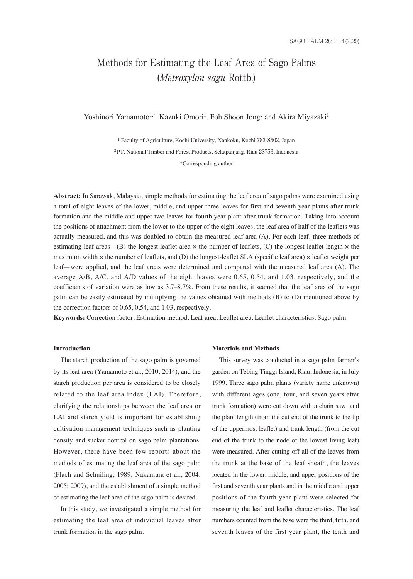# Methods for Estimating the Leaf Area of Sago Palms (Metroxylon sagu Rottb.)

Yoshinori Yamamoto<sup>1,\*</sup>, Kazuki Omori<sup>1</sup>, Foh Shoon Jong<sup>2</sup> and Akira Miyazaki<sup>1</sup>

1 Faculty of Agriculture, Kochi University, Nankoku, Kochi 783-8502, Japan <sup>2</sup> PT. National Timber and Forest Products, Selatpanjang, Riau 28753, Indonesia \*Corresponding author

**Abstract:** In Sarawak, Malaysia, simple methods for estimating the leaf area of sago palms were examined using a total of eight leaves of the lower, middle, and upper three leaves for first and seventh year plants after trunk formation and the middle and upper two leaves for fourth year plant after trunk formation. Taking into account the positions of attachment from the lower to the upper of the eight leaves, the leaf area of half of the leaflets was actually measured, and this was doubled to obtain the measured leaf area (A). For each leaf, three methods of estimating leaf areas—(B) the longest-leaflet area  $\times$  the number of leaflets, (C) the longest-leaflet length  $\times$  the maximum width  $\times$  the number of leaflets, and (D) the longest-leaflet SLA (specific leaf area)  $\times$  leaflet weight per leaf—were applied, and the leaf areas were determined and compared with the measured leaf area (A). The average A/B, A/C, and A/D values of the eight leaves were 0.65, 0.54, and 1.03, respectively, and the coefficients of variation were as low as 3.7–8.7%. From these results, it seemed that the leaf area of the sago palm can be easily estimated by multiplying the values obtained with methods (B) to (D) mentioned above by the correction factors of 0.65, 0.54, and 1.03, respectively.

**Keywords:** Correction factor, Estimation method, Leaf area, Leaflet area, Leaflet characteristics, Sago palm

## **Introduction**

The starch production of the sago palm is governed by its leaf area (Yamamoto et al., 2010; 2014), and the starch production per area is considered to be closely related to the leaf area index (LAI). Therefore, clarifying the relationships between the leaf area or LAI and starch yield is important for establishing cultivation management techniques such as planting density and sucker control on sago palm plantations. However, there have been few reports about the methods of estimating the leaf area of the sago palm (Flach and Schuiling, 1989; Nakamura et al., 2004; 2005; 2009), and the establishment of a simple method of estimating the leaf area of the sago palm is desired.

In this study, we investigated a simple method for estimating the leaf area of individual leaves after trunk formation in the sago palm.

### **Materials and Methods**

This survey was conducted in a sago palm farmer's garden on Tebing Tinggi Island, Riau, Indonesia, in July 1999. Three sago palm plants (variety name unknown) with different ages (one, four, and seven years after trunk formation) were cut down with a chain saw, and the plant length (from the cut end of the trunk to the tip of the uppermost leaflet) and trunk length (from the cut end of the trunk to the node of the lowest living leaf) were measured. After cutting off all of the leaves from the trunk at the base of the leaf sheath, the leaves located in the lower, middle, and upper positions of the first and seventh year plants and in the middle and upper positions of the fourth year plant were selected for measuring the leaf and leaflet characteristics. The leaf numbers counted from the base were the third, fifth, and seventh leaves of the first year plant, the tenth and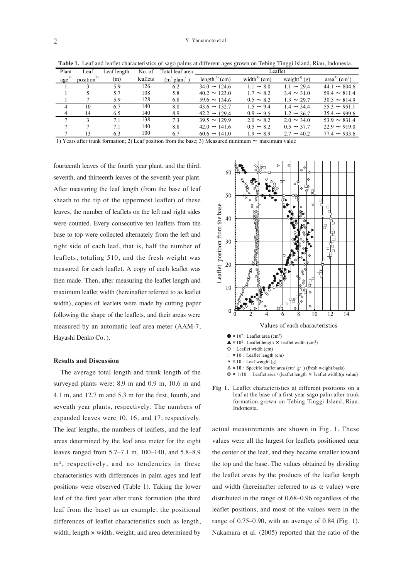| Plant            | Leaf                   | Leaf length | No. of   | Total leaf area              | Leaflet                   |                 |                            |                                      |
|------------------|------------------------|-------------|----------|------------------------------|---------------------------|-----------------|----------------------------|--------------------------------------|
| age <sup>1</sup> | position <sup>2)</sup> | (m)         | leaflets | $(m^2$ plant <sup>-1</sup> ) | length <sup>3)</sup> (cm) | width $3)$ (cm) | weight <sup>3)</sup> $(g)$ | area <sup>3</sup> (cm <sup>2</sup> ) |
|                  |                        | 5.9         | 126      | 6.2                          | $34.0 \sim 124.6$         | $1.1 \sim 8.0$  | $1.1 \sim 29.4$            | $44.1 \approx 804.6$                 |
|                  |                        | 5.7         | 108      | 5.8                          | $40.2 \sim 123.0$         | $1.7 \sim 8.2$  | $3.4 \sim 31.0$            | $59.4 \sim 811.4$                    |
|                  |                        | 5.9         | 128      | 6.8                          | $59.6 \sim 134.6$         | $0.5 \sim 8.2$  | $1.3 \sim 29.7$            | $30.5 \sim 814.9$                    |
| $\overline{4}$   | 10                     | 6.7         | 140      | 8.0                          | $43.6 \sim 132.7$         | $1.5 \sim 9.4$  | $1.4 \sim 34.4$            | $55.3 \sim 951.1$                    |
| $\overline{4}$   | 14                     | 6.5         | 140      | 8.9                          | $42.2 \sim 129.4$         | $0.9 \sim 9.5$  | $1.2 \sim 36.7$            | $35.4 \sim 999.6$                    |
| $\tau$           | ι                      | 7.1         | 138      | 7.3                          | $39.5 \sim 129.9$         | $2.0 \sim 8.2$  | $2.0 \sim 34.0$            | $53.9 \sim 831.4$                    |
|                  |                        | 7.1         | 140      | 8.8                          | $42.0 \sim 141.6$         | $0.5 \sim 8.2$  | $0.5 \sim 37.7$            | $22.9 \sim 919.0$                    |
|                  | 13                     | 6.3         | 100      | 6.7                          | $60.6 \sim 141.0$         | $1.9 \sim 8.9$  | $2.7 \sim 40.2$            | $77.4 \sim 933.6$                    |

Table 1. Leaf and leaflet characteristics of sago palms at different ages grown on Tebing Tinggi Island, Riau, Indonesia.

1) Years after trunk formation; 2) Leaf position from the base; 3) Measured minimum  $\sim$  maximum value

fourteenth leaves of the fourth year plant, and the third, seventh, and thirteenth leaves of the seventh year plant. After measuring the leaf length (from the base of leaf sheath to the tip of the uppermost leaflet) of these leaves, the number of leaflets on the left and right sides were counted. Every consecutive ten leaflets from the base to top were collected alternately from the left and right side of each leaf, that is, half the number of leaflets, totaling 510, and the fresh weight was measured for each leaflet. A copy of each leaflet was then made. Then, after measuring the leaflet length and maximum leaflet width (hereinafter referred to as leaflet width), copies of leaflets were made by cutting paper following the shape of the leaflets, and their areas were measured by an automatic leaf area meter (AAM-7, Hayashi Denko Co. ).

#### **Results and Discussion**

The average total length and trunk length of the surveyed plants were: 8.9 m and 0.9 m, 10.6 m and 4.1 m, and 12.7 m and 5.3 m for the first, fourth, and seventh year plants, respectively. The numbers of expanded leaves were 10, 16, and 17, respectively. The leaf lengths, the numbers of leaflets, and the leaf areas determined by the leaf area meter for the eight leaves ranged from 5.7–7.1 m, 100–140, and 5.8–8.9 m2, respectively, and no tendencies in these characteristics with differences in palm ages and leaf positions were observed (Table 1). Taking the lower leaf of the first year after trunk formation (the third leaf from the base) as an example, the positional differences of leaflet characteristics such as length, width, length × width, weight, and area determined by



- 
- $\Delta \times 10$ : Specific leaflet area (cm<sup>2</sup> g<sup>-1</sup>) (fresh weight basis)
- $\Leftrightarrow$  × 1/10 : Leaflet area / (leaflet length × leaflet width)( $\alpha$  value)
- **Fig 1.** Leaflet characteristics at different positions on a leaf at the base of a first-year sago palm after trunk formation grown on Tebing Tinggi Island, Riau, Indonesia.

actual measurements are shown in Fig. 1. These values were all the largest for leaflets positioned near the center of the leaf, and they became smaller toward the top and the base. The values obtained by dividing the leaflet areas by the products of the leaflet length and width (hereinafter referred to as  $\alpha$  value) were distributed in the range of 0.68–0.96 regardless of the leaflet positions, and most of the values were in the range of 0.75–0.90, with an average of 0.84 (Fig. 1). Nakamura et al. (2005) reported that the ratio of the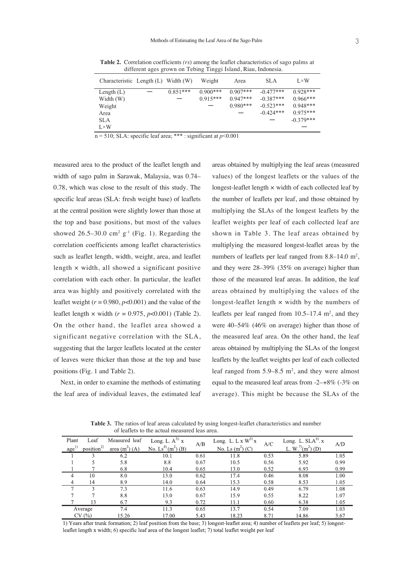| Characteristic Length $(L)$ Width $(W)$ |            | Weight     | Area       | SLA         | $L \times W$ |
|-----------------------------------------|------------|------------|------------|-------------|--------------|
| Length $(L)$                            | $0.851***$ | $0.900***$ | $0.907***$ | $-0.477***$ | $0.928***$   |
| Width (W)                               |            | $0.915***$ | $0.947***$ | $-0.387***$ | $0.966***$   |
| Weight                                  |            |            | $0.980***$ | $-0.523***$ | $0.948***$   |
| Area                                    |            |            |            | $-0.424***$ | $0.975***$   |
| <b>SLA</b>                              |            |            |            |             | $-0.379***$  |
| $L \times W$                            |            |            |            |             |              |

**Table 2.** Correlation coefficients *(rs*) among the leaflet characteristics of sago palms at different ages grown on Tebing Tinggi Island, Riau, Indonesia.

 $n = 510$ ; SLA: specific leaf area; \*\*\* : significant at  $p \le 0.001$ 

measured area to the product of the leaflet length and width of sago palm in Sarawak, Malaysia, was 0.74– 0.78, which was close to the result of this study. The specific leaf areas (SLA: fresh weight base) of leaflets at the central position were slightly lower than those at the top and base positions, but most of the values showed 26.5–30.0 cm<sup>2</sup>  $g^{-1}$  (Fig. 1). Regarding the correlation coefficients among leaflet characteristics such as leaflet length, width, weight, area, and leaflet length  $\times$  width, all showed a significant positive correlation with each other. In particular, the leaflet area was highly and positively correlated with the leaflet weight  $(r = 0.980, p < 0.001)$  and the value of the leaflet length  $\times$  width ( $r = 0.975$ ,  $p < 0.001$ ) (Table 2). On the other hand, the leaflet area showed a significant negative correlation with the SLA, suggesting that the larger leaflets located at the center of leaves were thicker than those at the top and base positions (Fig. 1 and Table 2).

Next, in order to examine the methods of estimating the leaf area of individual leaves, the estimated leaf areas obtained by multiplying the leaf areas (measured values) of the longest leaflets or the values of the longest-leaflet length × width of each collected leaf by the number of leaflets per leaf, and those obtained by multiplying the SLAs of the longest leaflets by the leaflet weights per leaf of each collected leaf are shown in Table 3. The leaf areas obtained by multiplying the measured longest-leaflet areas by the numbers of leaflets per leaf ranged from  $8.8-14.0$  m<sup>2</sup>, and they were 28–39% (35% on average) higher than those of the measured leaf areas. In addition, the leaf areas obtained by multiplying the values of the longest-leaflet length × width by the numbers of leaflets per leaf ranged from  $10.5-17.4$  m<sup>2</sup>, and they were 40–54% (46% on average) higher than those of the measured leaf area. On the other hand, the leaf areas obtained by multiplying the SLAs of the longest leaflets by the leaflet weights per leaf of each collected leaf ranged from  $5.9-8.5$  m<sup>2</sup>, and they were almost equal to the measured leaf areas from -2–+8% (-3% on average). This might be because the SLAs of the

| Plant<br>$\text{age}^{1}$ | Leaf<br>position <sup>2)</sup> | Measured leaf<br>area $(m^2)$<br>(A) | Long. L. $A^{3)}$ x<br>No. $\text{Ls}^{4)}(\text{m}^2)$ (B) | A/B  | Long. L. L $x W^{5}$ x<br>No. Ls $(m^2)$ (C) | A/C  | Long. L. $SLA6$ . x<br>L. W. $\frac{m^2}{m^2}$ (D) | A/D  |
|---------------------------|--------------------------------|--------------------------------------|-------------------------------------------------------------|------|----------------------------------------------|------|----------------------------------------------------|------|
|                           |                                | 6.2                                  | 10.1                                                        | 0.61 | 11.8                                         | 0.53 | 5.89                                               | 1.05 |
|                           |                                | 5.8                                  | 8.8                                                         | 0.67 | 10.5                                         | 0.56 | 5.92                                               | 0.99 |
|                           |                                | 6.8                                  | 10.4                                                        | 0.65 | 13.0                                         | 0.52 | 6.93                                               | 0.99 |
| 4                         | 10                             | 8.0                                  | 13.0                                                        | 0.62 | 17.4                                         | 0.46 | 8.08                                               | 1.00 |
| $\overline{4}$            | 14                             | 8.9                                  | 14.0                                                        | 0.64 | 15.3                                         | 0.58 | 8.53                                               | 1.05 |
|                           | 3                              | 7.3                                  | 11.6                                                        | 0.63 | 14.9                                         | 0.49 | 6.79                                               | 1.08 |
|                           |                                | 8.8                                  | 13.0                                                        | 0.67 | 15.9                                         | 0.55 | 8.22                                               | 1.07 |
|                           | 13                             | 6.7                                  | 9.3                                                         | 0.72 | 11.1                                         | 0.60 | 6.38                                               | 1.05 |
|                           | Average                        | 7.4                                  | 11.3                                                        | 0.65 | 13.7                                         | 0.54 | 7.09                                               | 1.03 |
|                           | CV(%)                          | 15.26                                | 17.00                                                       | 5.43 | 18.23                                        | 8.71 | 14.86                                              | 3.67 |

**Table 3.** The ratios of leaf areas calculated by using longest-leaflet characteristics and number of leaflets to the actual measured leas area.

1) Years after trunk formation; 2) leaf position from the base; 3) longest-leaflet area; 4) number of leaflets per leaf; 5) longestleaflet length x width; 6) specific leaf area of the longest leaflet; 7) total leaflet weight per leaf